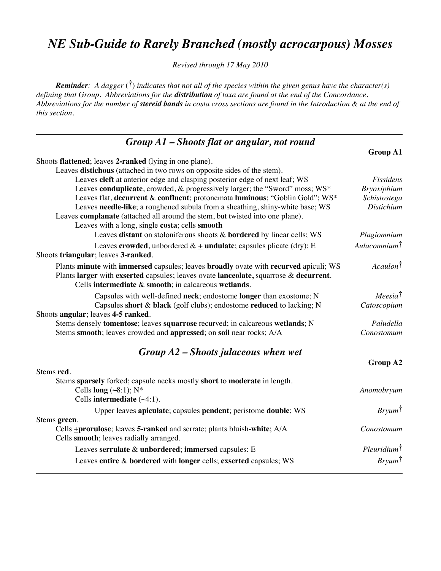# *NE Sub-Guide to Rarely Branched (mostly acrocarpous) Mosses*

*Revised through 17 May 2010*

*Reminder: A dagger* (**†**) *indicates that not all of the species within the given genus have the character(s) defining that Group. Abbreviations for the distribution of taxa are found at the end of the Concordance. Abbreviations for the number of stereid bands in costa cross sections are found in the Introduction & at the end of this section.*

| $Group A1 - shoots flat or angular, not round$                                        |                          |
|---------------------------------------------------------------------------------------|--------------------------|
|                                                                                       | <b>Group A1</b>          |
| Shoots flattened; leaves 2-ranked (lying in one plane).                               |                          |
| Leaves distichous (attached in two rows on opposite sides of the stem).               |                          |
| Leaves cleft at anterior edge and clasping posterior edge of next leaf; WS            | Fissidens                |
| Leaves conduplicate, crowded, & progressively larger; the "Sword" moss; WS*           | <b>Bryoxiphium</b>       |
| Leaves flat, decurrent & confluent; protonemata luminous; "Goblin Gold"; WS*          | Schistostega             |
| Leaves needle-like; a roughened subula from a sheathing, shiny-white base; WS         | <b>Distichium</b>        |
| Leaves complanate (attached all around the stem, but twisted into one plane).         |                          |
| Leaves with a long, single costa; cells smooth                                        |                          |
| Leaves distant on stoloniferous shoots & bordered by linear cells; WS                 | Plagiomnium              |
| Leaves crowded, unbordered $\& \pm \text{undulate}$ ; capsules plicate (dry); E       | Aulacomnium <sup>†</sup> |
| Shoots triangular; leaves 3-ranked.                                                   |                          |
| Plants minute with immersed capsules; leaves broadly ovate with recurved apiculi; WS  | Acaulon <sup>†</sup>     |
| Plants larger with exserted capsules; leaves ovate lanceolate, squarrose & decurrent. |                          |
| Cells intermediate $\&$ smooth; in calcareous wetlands.                               |                          |
| Capsules with well-defined neck; endostome longer than exostome; N                    | $Meesia^{\dagger}$       |
| Capsules short & black (golf clubs); endostome reduced to lacking; N                  | Catoscopium              |
| Shoots angular; leaves 4-5 ranked.                                                    |                          |
| Stems densely tomentose; leaves squarrose recurved; in calcareous wetlands; N         | Paludella                |
| Stems smooth; leaves crowded and appressed; on soil near rocks; A/A                   | Conostomum               |
| Group $A2$ – Shoots julaceous when wet                                                |                          |
|                                                                                       | Group A2                 |
| Stems red.                                                                            |                          |
| Stems sparsely forked; capsule necks mostly short to moderate in length.              |                          |
| Cells long $(\sim 8:1)$ ; N*                                                          | Anomobryum               |
| Cells intermediate $(\sim4:1)$ .                                                      |                          |
| Upper leaves apiculate; capsules pendent; peristome double; WS                        | $Bry \mu m^{\dagger}$    |

Stems **green**.

Cells +**prorulose**; leaves **5-ranked** and serrate; plants bluish**-white**; A/A *Conostomum* Cells **smooth**; leaves radially arranged. Leaves **serrulate** & **unbordered**; **immersed** capsules: E *Pleuridium*†

Leaves **entire** & **bordered** with **longer** cells; **exserted** capsules; WS *Bryum*†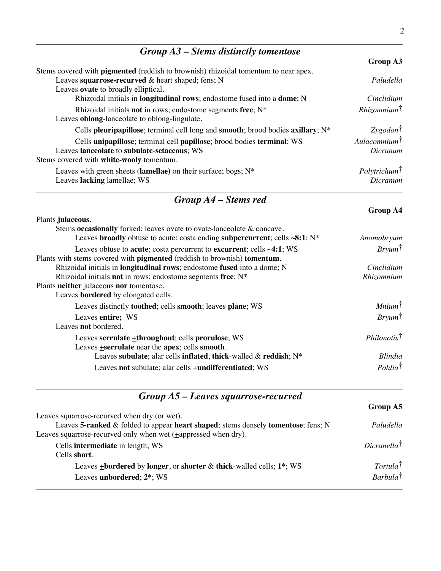### *Group A3 – Stems distinctly tomentose*

|                                                                                            | Group A3                        |
|--------------------------------------------------------------------------------------------|---------------------------------|
| Stems covered with <b>pigmented</b> (reddish to brownish) rhizoidal tomentum to near apex. |                                 |
| Leaves squarrose-recurved & heart shaped; fens; N                                          | Paludella                       |
| Leaves <b>ovate</b> to broadly elliptical.                                                 |                                 |
| Rhizoidal initials in <b>longitudinal rows</b> ; endostome fused into a <b>dome</b> ; N    | Cinclidium                      |
| Rhizoidal initials not in rows; endostome segments free; $N^*$                             | $Rhizomnim^{\dagger}$           |
| Leaves <b>oblong-lanceolate</b> to oblong-lingulate.                                       |                                 |
| Cells pleuripapillose; terminal cell long and smooth; brood bodies axillary; N*            | $Zygodon^{\dagger}$             |
| Cells unipapillose; terminal cell papillose; brood bodies terminal; WS                     | $Aulacomnium^{\dagger}$         |
| Leaves lanceolate to subulate-setaceous; WS                                                | Dicranum                        |
| Stems covered with white-wooly tomentum.                                                   |                                 |
| Leaves with green sheets (lamellae) on their surface; bogs; $N^*$                          | <i>Polytrichum</i> <sup>†</sup> |
| Leaves lacking lamellae; WS                                                                | Dicranum                        |
|                                                                                            |                                 |

### *Group A4 – Stems red*

### **Group A4** Plants **julaceous**. Stems **occasionally** forked; leaves ovate to ovate-lanceolate & concave. Leaves **broadly** obtuse to acute; costa ending **subpercurrent**; cells **~8:1**; N\* *Anomobryum* Leaves obtuse to **acute**; costa percurrent to **excurrent**; cells ~**4:1**; WS *Bryum*† Plants with stems covered with **pigmented** (reddish to brownish) **tomentum**. Rhizoidal initials in **longitudinal rows**; endostome **fused** into a dome; N *Cinclidium* Rhizoidal initials **not** in rows; endostome segments **free**; N\* *Rhizomnium* Plants **neither** julaceous **nor** tomentose. Leaves **bordered** by elongated cells. Leaves distinctly **toothed**; cells **smooth**; leaves **plane**; WS *Mnium*† Leaves **entire;** WS *Bryum*† Leaves **not** bordered. Leaves **serrulate**  $\pm$ **throughout**; cells **prorulose**; WS *Philonotis*<sup>†</sup> Leaves +**serrulate** near the **apex**; cells **smooth**. Leaves **subulate**; alar cells **inflated**, **thick**-walled & **reddish**; N\* *Blindia* Leaves **not** subulate; alar cells **+undifferentiated**; WS *Pohlia*<sup>†</sup>

### *Group A5 – Leaves squarrose-recurved*

| Paludella                   |
|-----------------------------|
|                             |
| $Dicranella^{\dagger}$      |
|                             |
| Tortula <sup>†</sup>        |
| <i>Barbula</i> <sup>†</sup> |
|                             |

**Group A5**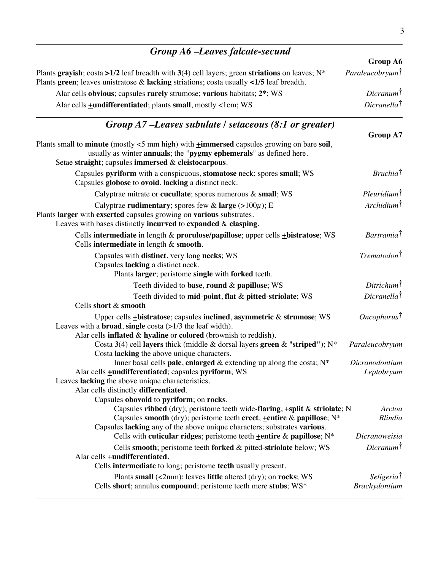| Group A6 -Leaves falcate-secund                                                                                                                                                                                                               |                                         |
|-----------------------------------------------------------------------------------------------------------------------------------------------------------------------------------------------------------------------------------------------|-----------------------------------------|
|                                                                                                                                                                                                                                               | Group A6                                |
| Plants grayish; costa >1/2 leaf breadth with 3(4) cell layers; green striations on leaves; $N^*$<br>Plants green; leaves unistratose $\&$ lacking striations; costa usually <1/5 leaf breadth.                                                | Paraleucobryum <sup>†</sup>             |
| Alar cells obvious; capsules rarely strumose; various habitats; 2 <sup>*</sup> ; WS                                                                                                                                                           | $Dicranum^{\dagger}$                    |
| Alar cells <b>+undifferentiated</b> ; plants small, mostly <1cm; WS                                                                                                                                                                           | $Dicranella^{\dagger}$                  |
| Group $A7$ –Leaves subulate / setaceous (8:1 or greater)                                                                                                                                                                                      | Group A7                                |
| Plants small to <b>minute</b> (mostly $\lt$ 5 mm high) with $\pm$ <b>immersed</b> capsules growing on bare soil,<br>usually as winter annuals; the "pygmy ephemerals" as defined here.<br>Setae straight; capsules immersed & cleistocarpous. |                                         |
| Capsules pyriform with a conspicuous, stomatose neck; spores small; WS<br>Capsules globose to ovoid, lacking a distinct neck.                                                                                                                 | Bruchia <sup>†</sup>                    |
| Calyptrae mitrate or cucullate; spores numerous $\&$ small; WS                                                                                                                                                                                | $P$ leuridium $\dagger$                 |
| Calyptrae rudimentary; spores few & large $(>100\mu)$ ; E<br>Plants larger with exserted capsules growing on various substrates.<br>Leaves with bases distinctly incurved to expanded $\&$ clasping.                                          | $Archidium^{\dagger}$                   |
| Cells intermediate in length & prorulose/papillose; upper cells +bistratose; WS<br>Cells intermediate in length & smooth.                                                                                                                     | Bartramia <sup>†</sup>                  |
| Capsules with distinct, very long necks; WS<br>Capsules lacking a distinct neck.<br>Plants larger; peristome single with forked teeth.                                                                                                        | $Trematodon^{\dagger}$                  |
| Teeth divided to base, round & papillose; WS                                                                                                                                                                                                  | Ditrichum <sup>†</sup>                  |
| Teeth divided to mid-point, flat & pitted-striolate; WS                                                                                                                                                                                       | $Dicranella^{\dagger}$                  |
| Cells short & smooth                                                                                                                                                                                                                          |                                         |
| Upper cells $\pm$ bistratose; capsules inclined, asymmetric & strumose; WS<br>Leaves with a <b>broad</b> , single costa $(>1/3$ the leaf width).                                                                                              | $Oneophorus^{\dagger}$                  |
| Alar cells inflated & hyaline or colored (brownish to reddish).<br>Costa 3(4) cell layers thick (middle & dorsal layers green & "striped"); $N^*$<br>Costa lacking the above unique characters.                                               | Paraleucobryum                          |
| Inner basal cells pale, enlarged $\&$ extending up along the costa; $N^*$<br>Alar cells <b>+undifferentiated</b> ; capsules <b>pyriform</b> ; WS<br>Leaves lacking the above unique characteristics.<br>Alar cells distinctly differentiated. | Dicranodontium<br>Leptobryum            |
| Capsules obovoid to pyriform; on rocks.                                                                                                                                                                                                       |                                         |
| Capsules ribbed (dry); peristome teeth wide-flaring, $\pm$ split & striolate; N<br>Capsules smooth (dry); peristome teeth erect, $\pm$ entire & papillose; N*<br>Capsules lacking any of the above unique characters; substrates various.     | Arctoa<br><b>Blindia</b>                |
| Cells with cuticular ridges; peristome teeth $\pm$ entire & papillose; N*                                                                                                                                                                     | Dicranoweisia                           |
| Cells smooth; peristome teeth forked & pitted-striolate below; WS<br>Alar cells <b>+undifferentiated</b> .                                                                                                                                    | $Dicranum^{\dagger}$                    |
| Cells intermediate to long; peristome teeth usually present.                                                                                                                                                                                  |                                         |
| Plants small $(\leq 2 \text{mm})$ ; leaves little altered $(\text{dry})$ ; on rocks; WS<br>Cells short; annulus compound; peristome teeth mere stubs; WS*                                                                                     | Seligeria <sup>†</sup><br>Brachydontium |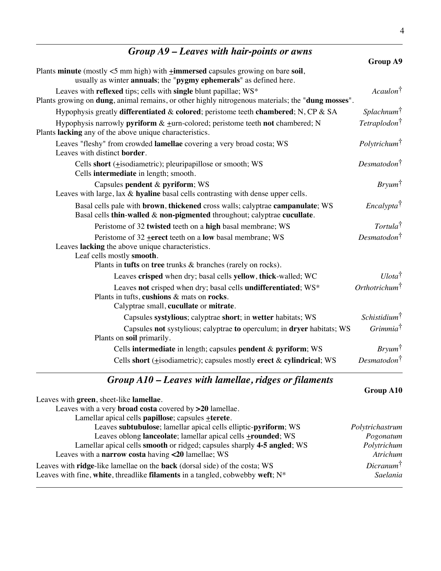| Group A9 – Leaves with hair-points or awns                                                                                                                                             |                                 |
|----------------------------------------------------------------------------------------------------------------------------------------------------------------------------------------|---------------------------------|
|                                                                                                                                                                                        | <b>Group A9</b>                 |
| Plants minute (mostly <5 mm high) with <i>i</i> mmersed capsules growing on bare soil,<br>usually as winter annuals; the "pygmy ephemerals" as defined here.                           |                                 |
| Leaves with reflexed tips; cells with single blunt papillae; WS*<br>Plants growing on <b>dung</b> , animal remains, or other highly nitrogenous materials; the " <b>dung mosses</b> ". | Acaulon <sup>†</sup>            |
| Hypophysis greatly differentiated & colored; peristome teeth chambered; N, CP & SA                                                                                                     | Splachnum <sup>†</sup>          |
| Hypophysis narrowly <b>pyriform</b> $\& \pm$ urn-colored; peristome teeth <b>not</b> chambered; N<br>Plants lacking any of the above unique characteristics.                           | Tetraplodon <sup>†</sup>        |
| Leaves "fleshy" from crowded lamellae covering a very broad costa; WS<br>Leaves with distinct border.                                                                                  | <i>Polytrichum</i> <sup>†</sup> |
| Cells short $(\pm i$ sodiametric); pleuripapillose or smooth; WS<br>Cells intermediate in length; smooth.                                                                              | $Desmatodon^{\dagger}$          |
| Capsules pendent & pyriform; WS<br>Leaves with large, lax & hyaline basal cells contrasting with dense upper cells.                                                                    | $Bryum^{\dagger}$               |
| Basal cells pale with brown, thickened cross walls; calyptrae campanulate; WS<br>Basal cells thin-walled & non-pigmented throughout; calyptrae cucullate.                              | Encalypta <sup>†</sup>          |
| Peristome of 32 twisted teeth on a high basal membrane; WS                                                                                                                             | $Tortula^{\dagger}$             |
| Peristome of $32$ + erect teeth on a low basal membrane; WS<br>Leaves lacking the above unique characteristics.<br>Leaf cells mostly smooth.                                           | $Desmatodon^{\dagger}$          |
| Plants in tufts on tree trunks & branches (rarely on rocks).                                                                                                                           |                                 |
| Leaves crisped when dry; basal cells yellow, thick-walled; WC                                                                                                                          | $U$ lota <sup>†</sup>           |
| Leaves not crisped when dry; basal cells undifferentiated; WS*<br>Plants in tufts, cushions & mats on rocks.<br>Calyptrae small, cucullate or mitrate.                                 | Orthotrichum <sup>†</sup>       |
| Capsules systylious; calyptrae short; in wetter habitats; WS                                                                                                                           | $Schistidium^{\dagger}$         |
| Capsules not systylious; calyptrae to operculum; in dryer habitats; WS<br>Plants on soil primarily.                                                                                    | Grimmia <sup>†</sup>            |
| Cells intermediate in length; capsules pendent & pyriform; WS                                                                                                                          | $Bryum^{\dagger}$               |
| Cells short $(\pm i$ sodiametric); capsules mostly erect & cylindrical; WS                                                                                                             | $Desmatodon^{\dagger}$          |

# *Group A10 – Leaves with lamellae, ridges or filaments*

|                                                                                           | Group A10            |
|-------------------------------------------------------------------------------------------|----------------------|
| Leaves with green, sheet-like lamellae.                                                   |                      |
| Leaves with a very broad costa covered by >20 lamellae.                                   |                      |
| Lamellar apical cells papillose; capsules +terete.                                        |                      |
| Leaves subtubulose; lamellar apical cells elliptic-pyriform; WS                           | Polytrichastrum      |
| Leaves oblong lanceolate; lamellar apical cells <b>+rounded</b> ; WS                      | Pogonatum            |
| Lamellar apical cells smooth or ridged; capsules sharply 4-5 angled; WS                   | Polytrichum          |
| Leaves with a narrow costa having <20 lamellae; WS                                        | Atrichum             |
| Leaves with <b>ridge</b> -like lamellae on the <b>back</b> (dorsal side) of the costa; WS | $Dicramum^{\dagger}$ |
| Leaves with fine, white, threadlike filaments in a tangled, cobwebby weft; $N^*$          | Saelania             |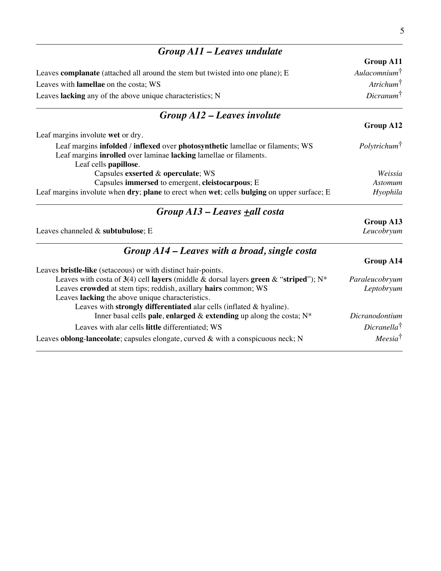| Group A11 – Leaves undulate                                                                                                                         |                                 |
|-----------------------------------------------------------------------------------------------------------------------------------------------------|---------------------------------|
|                                                                                                                                                     | <b>Group A11</b>                |
| Leaves <b>complanate</b> (attached all around the stem but twisted into one plane); E                                                               | Aulacomnium <sup>†</sup>        |
| Leaves with lamellae on the costa; WS                                                                                                               | $Artichum^{\dagger}$            |
| Leaves lacking any of the above unique characteristics; N                                                                                           | $Dicranum^{\dagger}$            |
| Group A12 – Leaves involute                                                                                                                         |                                 |
|                                                                                                                                                     | <b>Group A12</b>                |
| Leaf margins involute wet or dry.                                                                                                                   |                                 |
| Leaf margins infolded / inflexed over photosynthetic lamellae or filaments; WS<br>Leaf margins inrolled over laminae lacking lamellae or filaments. | <i>Polytrichum</i> <sup>†</sup> |
| Leaf cells papillose.                                                                                                                               |                                 |
| Capsules exserted & operculate; WS<br>Capsules immersed to emergent, cleistocarpous; E                                                              | Weissia<br><b>Astomum</b>       |
| Leaf margins involute when dry; plane to erect when wet; cells bulging on upper surface; E                                                          | Hyophila                        |
| Group A13 – Leaves <u>+</u> all costa                                                                                                               |                                 |
|                                                                                                                                                     | Group A13                       |
| Leaves channeled & subtubulose; E                                                                                                                   | Leucobryum                      |
| $Group A14 - Leaves with a broad, single costa$                                                                                                     |                                 |
|                                                                                                                                                     | Group A14                       |
| Leaves bristle-like (setaceous) or with distinct hair-points.                                                                                       |                                 |
| Leaves with costa of 3(4) cell layers (middle & dorsal layers green & "striped"); $N^*$                                                             | Paraleucobryum                  |
| Leaves crowded at stem tips; reddish, axillary hairs common; WS                                                                                     | Leptobryum                      |
| Leaves lacking the above unique characteristics.                                                                                                    |                                 |
| Leaves with strongly differentiated alar cells (inflated & hyaline).                                                                                |                                 |
| Inner basal cells pale, enlarged $\&$ extending up along the costa; $N^*$                                                                           | Dicranodontium                  |
| Leaves with alar cells little differentiated; WS                                                                                                    | $Dicranella^{\dagger}$          |
| Leaves oblong-lanceolate; capsules elongate, curved $\&$ with a conspicuous neck; N                                                                 | $Meesia^{\dagger}$              |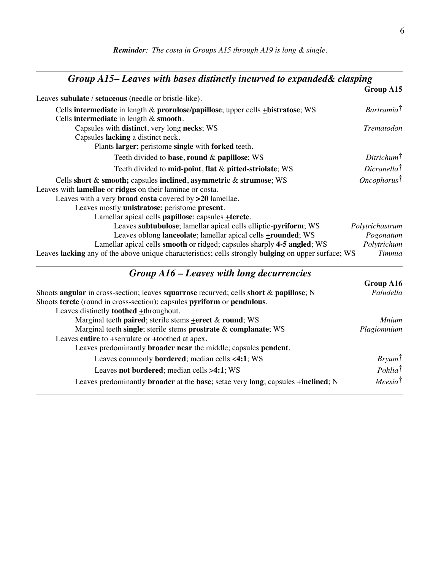| Group A15-Leaves with bases distinctly incurved to expanded& clasping                                                             |                               |
|-----------------------------------------------------------------------------------------------------------------------------------|-------------------------------|
|                                                                                                                                   | Group A15                     |
| Leaves subulate / setaceous (needle or bristle-like).                                                                             |                               |
| Cells intermediate in length $\&$ prorulose/papillose; upper cells $\pm$ bistratose; WS<br>Cells intermediate in length & smooth. | <i>Bartramia</i> <sup>†</sup> |
| Capsules with distinct, very long necks; WS                                                                                       | Trematodon                    |
| Capsules lacking a distinct neck.                                                                                                 |                               |
| Plants larger; peristome single with forked teeth.                                                                                |                               |
| Teeth divided to base, round $\&$ papillose; WS                                                                                   | $Ditrichum^{\dagger}$         |
| Teeth divided to mid-point, flat & pitted-striolate; WS                                                                           | $Dicranella^{\dagger}$        |
| Cells short & smooth; capsules inclined, asymmetric & strumose; WS                                                                | $Oneophorus^{\dagger}$        |
| Leaves with lamellae or ridges on their laminae or costa.                                                                         |                               |
| Leaves with a very <b>broad costa</b> covered by >20 lamellae.                                                                    |                               |
| Leaves mostly unistratose; peristome present.                                                                                     |                               |
| Lamellar apical cells <b>papillose</b> ; capsules <b>+terete</b> .                                                                |                               |
| Leaves subtubulose; lamellar apical cells elliptic-pyriform; WS                                                                   | Polytrichastrum               |
| Leaves oblong lanceolate; lamellar apical cells <b>+rounded</b> ; WS                                                              | Pogonatum                     |
| Lamellar apical cells smooth or ridged; capsules sharply 4-5 angled; WS                                                           | Polytrichum                   |
| Leaves lacking any of the above unique characteristics; cells strongly bulging on upper surface; WS                               | Timmia                        |
| $Group A16$ – Leaves with long decurrencies                                                                                       |                               |

|                                                                                                              | Group A16           |
|--------------------------------------------------------------------------------------------------------------|---------------------|
| Shoots angular in cross-section; leaves squarrose recurved; cells short $\&$ papillose; N                    | Paludella           |
| Shoots terete (round in cross-section); capsules pyriform or pendulous.                                      |                     |
| Leaves distinctly <b>toothed</b> +throughout.                                                                |                     |
| Marginal teeth paired; sterile stems +erect & round; WS                                                      | <b>Mnium</b>        |
| Marginal teeth single; sterile stems prostrate & complanate; WS                                              | Plagiomnium         |
| Leaves entire to $\pm$ serrulate or $\pm$ toothed at apex.                                                   |                     |
| Leaves predominantly <b>broader near</b> the middle; capsules <b>pendent</b> .                               |                     |
| Leaves commonly <b>bordered</b> ; median cells <4:1; WS                                                      | $Bryum^{\dagger}$   |
| Leaves not bordered; median cells >4:1; WS                                                                   | $Pohlia^{\dagger}$  |
| Leaves predominantly <b>broader</b> at the <b>base</b> ; setae very long; capsules $\pm$ <b>inclined</b> ; N | Meesia <sup>†</sup> |
|                                                                                                              |                     |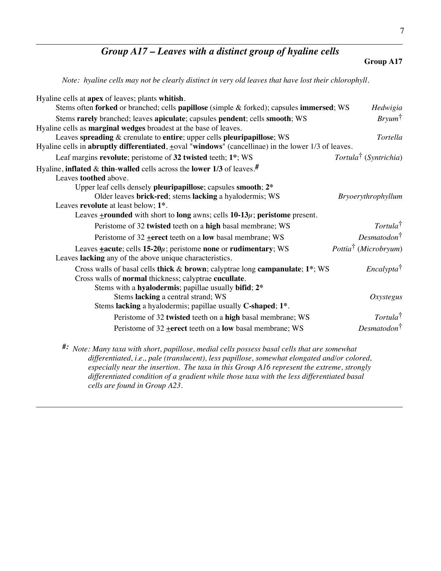## *Group A17 – Leaves with a distinct group of hyaline cells*

#### **Group A17**

*Note: hyaline cells may not be clearly distinct in very old leaves that have lost their chlorophyll.*

| Hyaline cells at apex of leaves; plants whitish.<br>Stems often forked or branched; cells papillose (simple & forked); capsules immersed; WS                                                  | Hedwigia                          |
|-----------------------------------------------------------------------------------------------------------------------------------------------------------------------------------------------|-----------------------------------|
| Stems rarely branched; leaves apiculate; capsules pendent; cells smooth; WS                                                                                                                   | $Bry \mu m^{\dagger}$             |
| Hyaline cells as <b>marginal wedges</b> broadest at the base of leaves.<br>Leaves spreading & crenulate to entire; upper cells pleuripapillose; WS                                            | Tortella                          |
| Hyaline cells in <b>abruptly differentiated</b> , $\pm$ oval "windows" (cancellinae) in the lower $1/3$ of leaves.                                                                            |                                   |
| Leaf margins revolute; peristome of 32 twisted teeth; 1 <sup>*</sup> ; WS                                                                                                                     | Tortula <sup>†</sup> (Syntrichia) |
| Hyaline, inflated & thin-walled cells across the lower $1/3$ of leaves. <sup>#</sup><br>Leaves toothed above.                                                                                 |                                   |
| Upper leaf cells densely pleuripapillose; capsules smooth; 2*<br>Older leaves brick-red; stems lacking a hyalodermis; WS                                                                      | Bryoerythrophyllum                |
| Leaves revolute at least below; 1 <sup>*</sup> .<br>Leaves $\pm$ rounded with short to long awns; cells 10-13 $\mu$ ; peristome present.                                                      |                                   |
| Peristome of 32 twisted teeth on a high basal membrane; WS                                                                                                                                    | Tortula <sup>†</sup>              |
| Peristome of $32$ + erect teeth on a low basal membrane; WS                                                                                                                                   | $Desmatodon^{\dagger}$            |
| Leaves $\pm$ acute; cells 15-20 $\mu$ ; peristome none or rudimentary; WS<br>Leaves lacking any of the above unique characteristics.                                                          | Pottia <sup>†</sup> (Microbryum)  |
| Cross walls of basal cells thick & brown; calyptrae long campanulate; 1*; WS<br>Cross walls of normal thickness; calyptrae cucullate.<br>Stems with a hyalodermis; papillae usually bifid; 2* | <i>Encalypta</i> <sup>†</sup>     |
| Stems lacking a central strand; WS<br>Stems lacking a hyalodermis; papillae usually C-shaped; 1 <sup>*</sup> .                                                                                | Oxystegus                         |
| Peristome of 32 twisted teeth on a high basal membrane; WS                                                                                                                                    | $Tortula^{\dagger}$               |
| Peristome of $32$ + erect teeth on a low basal membrane; WS                                                                                                                                   | Desmatodon <sup>†</sup>           |
| $\#$ : Note: Many taxa with short, papillose, medial cells possess hasal cells that are somowhat                                                                                              |                                   |

*#: Note: Many taxa with short, papillose, medial cells possess basal cells that are somewhat differentiated, i.e., pale (translucent), less papillose, somewhat elongated and/or colored, especially near the insertion. The taxa in this Group A16 represent the extreme, strongly differentiated condition of a gradient while those taxa with the less differentiated basal cells are found in Group A23.*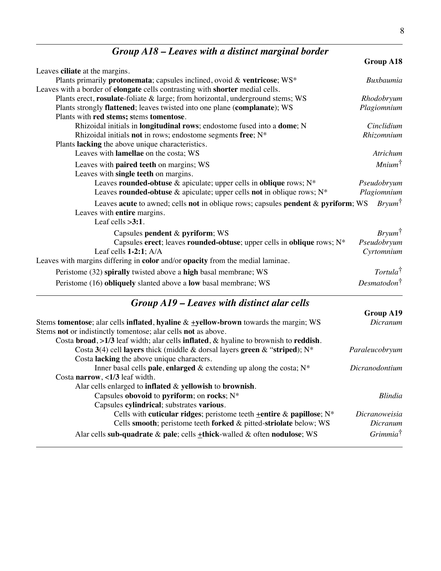# *Group A18 – Leaves with a distinct marginal border*

|                                                                                             | Group A18               |
|---------------------------------------------------------------------------------------------|-------------------------|
| Leaves ciliate at the margins.                                                              |                         |
| Plants primarily protonemata; capsules inclined, ovoid & ventricose; WS*                    | Buxbaumia               |
| Leaves with a border of <b>elongate</b> cells contrasting with <b>shorter</b> medial cells. |                         |
| Plants erect, rosulate-foliate & large; from horizontal, underground stems; WS              | Rhodobryum              |
| Plants strongly flattened; leaves twisted into one plane (complanate); WS                   | Plagiomnium             |
| Plants with red stems; stems tomentose.                                                     |                         |
| Rhizoidal initials in <b>longitudinal rows</b> ; endostome fused into a <b>dome</b> ; N     | Cinclidium              |
| Rhizoidal initials not in rows; endostome segments free; N*                                 | Rhizomnium              |
| Plants lacking the above unique characteristics.                                            |                         |
| Leaves with lamellae on the costa; WS                                                       | Atrichum                |
| Leaves with paired teeth on margins; WS                                                     | $Minimum^{\dagger}$     |
| Leaves with single teeth on margins.                                                        |                         |
| Leaves rounded-obtuse & apiculate; upper cells in oblique rows; N*                          | Pseudobryum             |
| Leaves rounded-obtuse & apiculate; upper cells not in oblique rows; $N^*$                   | Plagiomnium             |
| Leaves acute to awned; cells not in oblique rows; capsules pendent & pyriform; WS           | $Bryum^{\dagger}$       |
| Leaves with entire margins.                                                                 |                         |
| Leaf cells $>3:1$ .                                                                         |                         |
| Capsules pendent & pyriform; WS                                                             | $Bryum^{\dagger}$       |
| Capsules erect; leaves rounded-obtuse; upper cells in oblique rows; N*                      | Pseudobryum             |
| Leaf cells $1-2:1$ ; $A/A$                                                                  | Cyrtomnium              |
| Leaves with margins differing in color and/or opacity from the medial laminae.              |                         |
| Peristome (32) spirally twisted above a high basal membrane; WS                             | Tortula <sup>†</sup>    |
|                                                                                             |                         |
| Peristome (16) obliquely slanted above a low basal membrane; WS                             | Desmatodon <sup>†</sup> |

# *Group A19 – Leaves with distinct alar cells*

|                                                                                         | Group A19            |
|-----------------------------------------------------------------------------------------|----------------------|
| Stems tomentose; alar cells inflated, hyaline $\&$ +yellow-brown towards the margin; WS | Dicranum             |
| Stems not or indistinctly tomentose; alar cells not as above.                           |                      |
| Costa broad, $>1/3$ leaf width; alar cells inflated, & hyaline to brownish to reddish.  |                      |
| Costa 3(4) cell layers thick (middle & dorsal layers green & "striped); $N^*$           | Paraleucobryum       |
| Costa lacking the above unique characters.                                              |                      |
| Inner basal cells pale, enlarged $\&$ extending up along the costa; $N^*$               | Dicranodontium       |
| Costa narrow, $\langle 1/3 \rangle$ leaf width.                                         |                      |
| Alar cells enlarged to inflated & yellowish to brownish.                                |                      |
| Capsules obovoid to pyriform; on rocks; $N^*$                                           | <i>Blindia</i>       |
| Capsules cylindrical; substrates various.                                               |                      |
| Cells with cuticular ridges; peristome teeth $\pm$ entire & papillose; N <sup>*</sup>   | <b>Dicranoweisia</b> |
| Cells smooth; peristome teeth forked & pitted-striolate below; WS                       | Dicranum             |
| Alar cells sub-quadrate & pale; cells $\pm$ thick-walled & often nodulose; WS           | $Grimmia^{\dagger}$  |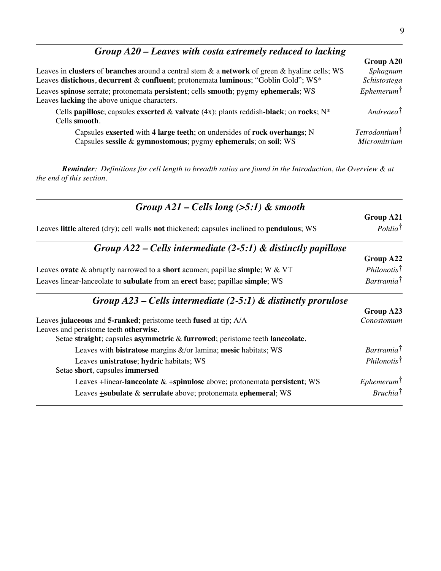| $Group A20$ – Leaves with costa extremely reduced to lacking                                        |                        |
|-----------------------------------------------------------------------------------------------------|------------------------|
|                                                                                                     | Group A20              |
| Leaves in clusters of branches around a central stem $\&$ a network of green $\&$ hyaline cells; WS | Sphagnum               |
| Leaves distichous, decurrent & confluent; protonemata luminous; "Goblin Gold"; WS*                  | Schistostega           |
| Leaves spinose serrate; protonemata persistent; cells smooth; pygmy ephemerals; WS                  | $E$ phemerum $\dagger$ |
| Leaves lacking the above unique characters.                                                         |                        |

Cells **papillose**; capsules **exserted** & **valvate** (4x); plants reddish-**black**; on **rocks**; N\* *Andreaea*† Cells **smooth**.

Capsules **exserted** with **4 large teeth**; on undersides of **rock overhangs**; N *Tetrodontium*† Capsules sessile & gymnostomous; pygmy ephemerals; on soil; WS

*Reminder: Definitions for cell length to breadth ratios are found in the Introduction, the Overview & at the end of this section.*

| Group $A21$ – Cells long (>5:1) & smooth                                                  |                             |  |
|-------------------------------------------------------------------------------------------|-----------------------------|--|
|                                                                                           | Group A21                   |  |
| Leaves little altered (dry); cell walls not thickened; capsules inclined to pendulous; WS | $Pohlia^{\dagger}$          |  |
| Group $A22$ – Cells intermediate (2-5:1) & distinctly papillose                           |                             |  |
|                                                                                           | Group A22                   |  |
| Leaves ovate $\&$ abruptly narrowed to a short acumen; papillae simple; W $\&$ VT         | Philonotis <sup>†</sup>     |  |
| Leaves linear-lanceolate to subulate from an erect base; papillae simple; WS              | Bartramia <sup>†</sup>      |  |
| Group $A23$ – Cells intermediate (2-5:1) & distinctly prorulose                           |                             |  |
|                                                                                           | Group A23                   |  |
| Leaves julaceous and 5-ranked; peristome teeth fused at tip; A/A                          | Conostomum                  |  |
| Leaves and peristome teeth otherwise.                                                     |                             |  |
| Setae straight; capsules asymmetric & furrowed; peristome teeth lanceolate.               |                             |  |
| Leaves with <b>bistratose</b> margins $\&$ /or lamina; mesic habitats; WS                 | Bartramia <sup>†</sup>      |  |
| Leaves unistratose; hydric habitats; WS                                                   | Philonotis <sup>†</sup>     |  |
| Setae short, capsules immersed                                                            |                             |  |
| Leaves $\pm$ linear-lanceolate & $\pm$ spinulose above; protonemata persistent; WS        | $E$ phemerum $\dagger$      |  |
| Leaves <b>+subulate &amp; serrulate</b> above; protonemata ephemeral; WS                  | <i>Bruchia</i> <sup>†</sup> |  |

A20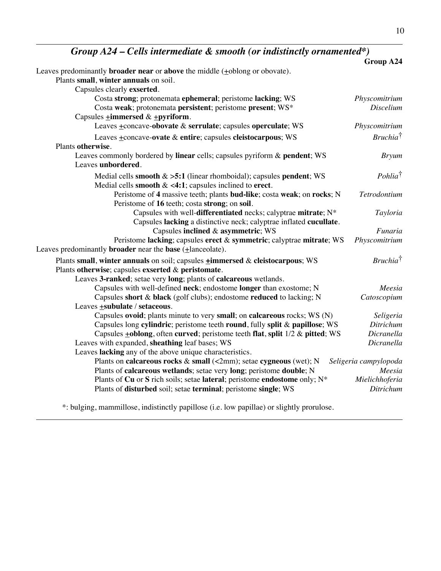*Group A24 – Cells intermediate & smooth (or indistinctly ornamented\*)*

|                                                                                                | Group A24             |
|------------------------------------------------------------------------------------------------|-----------------------|
| Leaves predominantly <b>broader near</b> or <b>above</b> the middle $(\pm$ oblong or obovate). |                       |
| Plants small, winter annuals on soil.                                                          |                       |
| Capsules clearly exserted.                                                                     |                       |
| Costa strong; protonemata ephemeral; peristome lacking; WS                                     | Physcomitrium         |
| Costa weak; protonemata persistent; peristome present; WS*                                     | <b>Discelium</b>      |
| Capsules $\pm$ <b>immersed</b> & $\pm$ <b>pyriform</b> .                                       |                       |
| Leaves +concave-obovate & serrulate; capsules operculate; WS                                   | Physcomitrium         |
| Leaves +concave-ovate & entire; capsules cleistocarpous; WS                                    | $Bruchia^{\dagger}$   |
| Plants otherwise.                                                                              |                       |
| Leaves commonly bordered by linear cells; capsules pyriform & pendent; WS                      | <b>Bryum</b>          |
| Leaves unbordered.                                                                             |                       |
| Medial cells smooth $\&$ >5:1 (linear rhomboidal); capsules pendent; WS                        | $Pohlia^{\dagger}$    |
| Medial cells smooth $\< 4:1$ ; capsules inclined to erect.                                     |                       |
| Peristome of 4 massive teeth; plants bud-like; costa weak; on rocks; N                         | Tetrodontium          |
| Peristome of 16 teeth; costa strong; on soil.                                                  |                       |
| Capsules with well-differentiated necks; calyptrae mitrate; N*                                 | Tayloria              |
| Capsules lacking a distinctive neck; calyptrae inflated cucullate.                             |                       |
| Capsules inclined & asymmetric; WS                                                             | Funaria               |
| Peristome lacking; capsules erect & symmetric; calyptrae mitrate; WS                           | Physcomitrium         |
| Leaves predominantly <b>broader</b> near the <b>base</b> $( \pm$ lanceolate).                  |                       |
| Plants small, winter annuals on soil; capsules <b>+immersed &amp; cleistocarpous</b> ; WS      | $Bruchia^{\dagger}$   |
| Plants otherwise; capsules exserted & peristomate.                                             |                       |
| Leaves 3-ranked; setae very long; plants of calcareous wetlands.                               |                       |
| Capsules with well-defined neck; endostome longer than exostome; N                             | Meesia                |
| Capsules short & black (golf clubs); endostome reduced to lacking; N                           | Catoscopium           |
| Leaves <b>+subulate</b> / setaceous.                                                           |                       |
| Capsules ovoid; plants minute to very small; on calcareous rocks; WS (N)                       | Seligeria             |
| Capsules long cylindric; peristome teeth round, fully split & papillose; WS                    | Ditrichum             |
| Capsules <b>+oblong</b> , often curved; peristome teeth flat, split 1/2 & pitted; WS           | Dicranella            |
| Leaves with expanded, sheathing leaf bases; WS                                                 | Dicranella            |
| Leaves lacking any of the above unique characteristics.                                        |                       |
| Plants on calcareous rocks & small (<2mm); setae cygneous (wet); N                             | Seligeria campylopoda |
| Plants of calcareous wetlands; setae very long; peristome double; N                            | Meesia                |
| Plants of Cu or S rich soils; setae lateral; peristome endostome only; N*                      | Mielichhoferia        |
| Plants of disturbed soil; setae terminal; peristome single; WS                                 | Ditrichum             |

\*: bulging, mammillose, indistinctly papillose (i.e. low papillae) or slightly prorulose.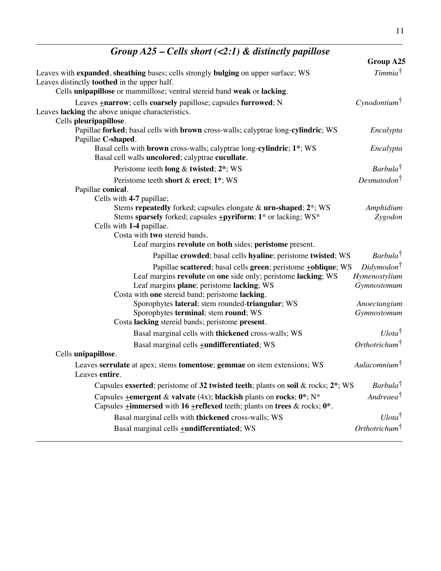| Group $A23 - Ceus$ snort $(S2:1)$ $\alpha$ atsunctly papillose                                                                                                               |                              |
|------------------------------------------------------------------------------------------------------------------------------------------------------------------------------|------------------------------|
|                                                                                                                                                                              | Group A25                    |
| Leaves with expanded, sheathing bases; cells strongly bulging on upper surface; WS<br>Leaves distinctly <b>toothed</b> in the upper half.                                    | Timmia <sup>†</sup>          |
| Cells unipapillose or mammillose; ventral stereid band weak or lacking.                                                                                                      |                              |
| Leaves +narrow; cells coarsely papillose; capsules furrowed; N<br>Leaves lacking the above unique characteristics.                                                           | Cynodontium <sup>†</sup>     |
| Cells pleuripapillose.<br>Papillae forked; basal cells with brown cross-walls; calyptrae long-cylindric; WS<br>Papillae C-shaped.                                            | Encalypta                    |
| Basal cells with brown cross-walls; calyptrae long-cylindric; 1*; WS<br>Basal cell walls uncolored; calyptrae cucullate.                                                     | Encalypta                    |
| Peristome teeth long & twisted; 2*; WS                                                                                                                                       | Barbula <sup>†</sup>         |
| Peristome teeth short & erect; 1*; WS                                                                                                                                        | Desmatodon <sup>†</sup>      |
| Papillae conical.<br>Cells with 4-7 papillae;                                                                                                                                |                              |
| Stems repeatedly forked; capsules elongate & urn-shaped; 2*; WS                                                                                                              | Amphidium                    |
| Stems sparsely forked; capsules <b>+pyriform</b> ; 1 <sup>*</sup> or lacking; WS <sup>*</sup><br>Cells with 1-4 papillae.                                                    | Zygodon                      |
| Costa with two stereid bands.                                                                                                                                                |                              |
| Leaf margins revolute on both sides; peristome present.                                                                                                                      |                              |
| Papillae crowded; basal cells hyaline; peristome twisted; WS                                                                                                                 | Barbula <sup>†</sup>         |
| Papillae scattered; basal cells green; peristome +oblique; WS                                                                                                                | $Didymodon^{\dagger}$        |
| Leaf margins revolute on one side only; peristome lacking; WS<br>Leaf margins plane; peristome lacking; WS<br>Costa with one stereid band; peristome lacking.                | Hymenostylium<br>Gymnostomum |
| Sporophytes lateral; stem rounded-triangular; WS                                                                                                                             | Anoectangium                 |
| Sporophytes terminal; stem round; WS<br>Costa lacking stereid bands; peristome present.                                                                                      | Gymnostomum                  |
| Basal marginal cells with thickened cross-walls; WS                                                                                                                          | Ulota <sup>†</sup>           |
| Basal marginal cells <b>+undifferentiated</b> ; WS                                                                                                                           | $Orthotrichum^{\dagger}$     |
| Cells unipapillose.                                                                                                                                                          |                              |
| Leaves serrulate at apex; stems tomentose; gemmae on stem extensions; WS<br>Leaves entire.                                                                                   | $Aulacomnium^{\dagger}$      |
| Capsules exserted; peristome of 32 twisted teeth; plants on soil & rocks; $2^*$ ; WS                                                                                         | Barbula <sup>†</sup>         |
| Capsules $\pm$ emergent & valvate (4x); blackish plants on rocks; 0*; N*<br>Capsules $\pm$ <b>immersed</b> with 16 $\pm$ <b>reflexed</b> teeth; plants on trees & rocks; 0*. | Andreaea <sup>†</sup>        |
| Basal marginal cells with thickened cross-walls; WS                                                                                                                          | $U lota^{\dagger}$           |
| Basal marginal cells <b>+undifferentiated</b> ; WS                                                                                                                           | Orthotrichum <sup>†</sup>    |
|                                                                                                                                                                              |                              |

## *Group A25 – Cells short (<2:1) & distinctly papillose*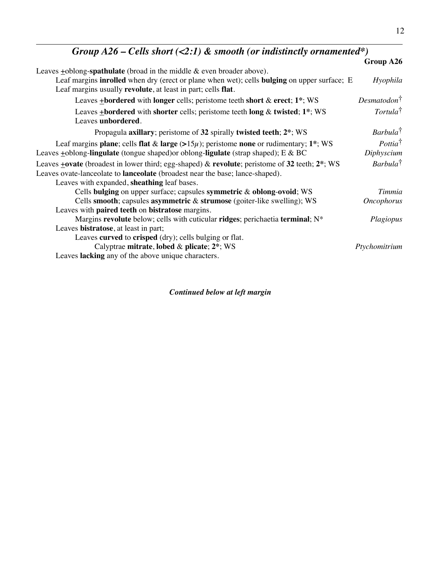| Group A26 – Cells short (<2:1) & smooth (or indistinctly ornamented*)                                                                                                                                                                                   |                                  |
|---------------------------------------------------------------------------------------------------------------------------------------------------------------------------------------------------------------------------------------------------------|----------------------------------|
|                                                                                                                                                                                                                                                         | Group A26                        |
| Leaves $\pm$ oblong-spathulate (broad in the middle & even broader above).<br>Leaf margins <b>inrolled</b> when dry (erect or plane when wet); cells <b>bulging</b> on upper surface; E<br>Leaf margins usually revolute, at least in part; cells flat. | Hyophila                         |
| Leaves $\pm$ <b>bordered</b> with <b>longer</b> cells; peristome teeth <b>short</b> & <b>erect</b> ; 1 <sup>*</sup> ; WS                                                                                                                                | $Desmatodon^{\dagger}$           |
| Leaves $\pm$ bordered with shorter cells; peristome teeth long & twisted; 1*; WS<br>Leaves unbordered.                                                                                                                                                  | $Tortula^{\dagger}$              |
| Propagula axillary; peristome of 32 spirally twisted teeth; $2^*$ ; WS                                                                                                                                                                                  | Barbula <sup>†</sup>             |
| Leaf margins plane; cells flat & large $(>15\mu)$ ; peristome none or rudimentary; 1 <sup>*</sup> ; WS<br>Leaves $\pm$ oblong-lingulate (tongue shaped) or oblong-ligulate (strap shaped); E & BC                                                       | $Pottia^{\dagger}$<br>Diphyscium |
| Leaves $\pm$ ovate (broadest in lower third; egg-shaped) & revolute; peristome of 32 teeth; 2 <sup>*</sup> ; WS<br>Leaves ovate-lanceolate to <b>lanceolate</b> (broadest near the base; lance-shaped).<br>Leaves with expanded, sheathing leaf bases.  | $Barbula^{\dagger}$              |
| Cells bulging on upper surface; capsules symmetric & oblong-ovoid; WS                                                                                                                                                                                   | Timmia                           |
| Cells smooth; capsules asymmetric & strumose (goiter-like swelling); WS<br>Leaves with paired teeth on bistratose margins.                                                                                                                              | <b>Oncophorus</b>                |
| Margins revolute below; cells with cuticular ridges; perichaetia terminal; $N^*$                                                                                                                                                                        | Plagiopus                        |
| Leaves bistratose, at least in part;<br>Leaves curved to crisped (dry); cells bulging or flat.<br>Calyptrae mitrate, lobed & plicate; 2*; WS<br>Leaves lacking any of the above unique characters.                                                      | Ptychomitrium                    |

*Continued below at left margin*